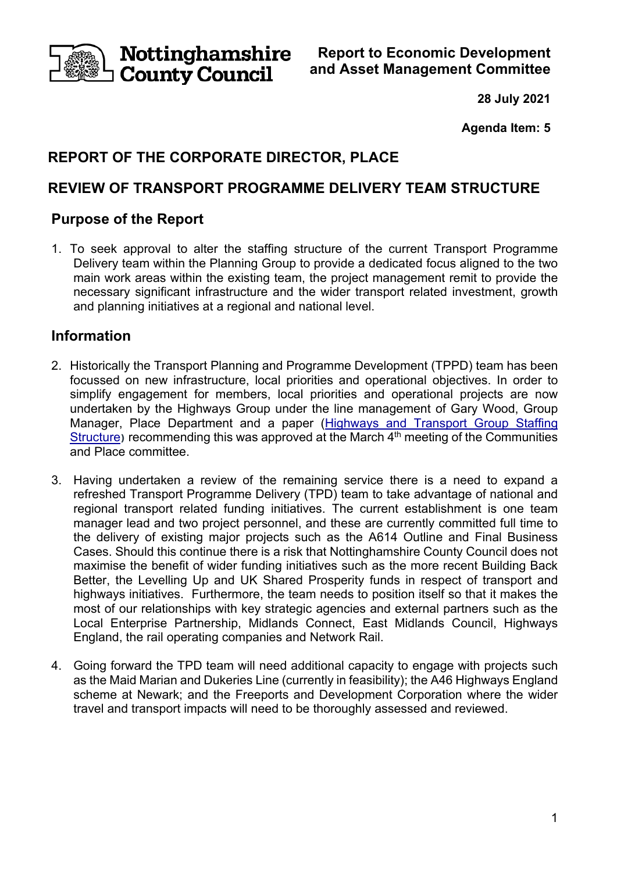Nottinghamshire **County Council** 

**Report to Economic Development and Asset Management Committee** 

**28 July 2021** 

**Agenda Item: 5** 

# **REPORT OF THE CORPORATE DIRECTOR, PLACE**

# **REVIEW OF TRANSPORT PROGRAMME DELIVERY TEAM STRUCTURE**

# **Purpose of the Report**

1. To seek approval to alter the staffing structure of the current Transport Programme Delivery team within the Planning Group to provide a dedicated focus aligned to the two main work areas within the existing team, the project management remit to provide the necessary significant infrastructure and the wider transport related investment, growth and planning initiatives at a regional and national level.

# **Information**

- 2. Historically the Transport Planning and Programme Development (TPPD) team has been focussed on new infrastructure, local priorities and operational objectives. In order to simplify engagement for members, local priorities and operational projects are now undertaken by the Highways Group under the line management of Gary Wood, Group Manager, Place Department and a paper (Highways and Transport Group Staffing Structure) recommending this was approved at the March 4<sup>th</sup> meeting of the Communities and Place committee.
- 3. Having undertaken a review of the remaining service there is a need to expand a refreshed Transport Programme Delivery (TPD) team to take advantage of national and regional transport related funding initiatives. The current establishment is one team manager lead and two project personnel, and these are currently committed full time to the delivery of existing major projects such as the A614 Outline and Final Business Cases. Should this continue there is a risk that Nottinghamshire County Council does not maximise the benefit of wider funding initiatives such as the more recent Building Back Better, the Levelling Up and UK Shared Prosperity funds in respect of transport and highways initiatives. Furthermore, the team needs to position itself so that it makes the most of our relationships with key strategic agencies and external partners such as the Local Enterprise Partnership, Midlands Connect, East Midlands Council, Highways England, the rail operating companies and Network Rail.
- 4. Going forward the TPD team will need additional capacity to engage with projects such as the Maid Marian and Dukeries Line (currently in feasibility); the A46 Highways England scheme at Newark; and the Freeports and Development Corporation where the wider travel and transport impacts will need to be thoroughly assessed and reviewed.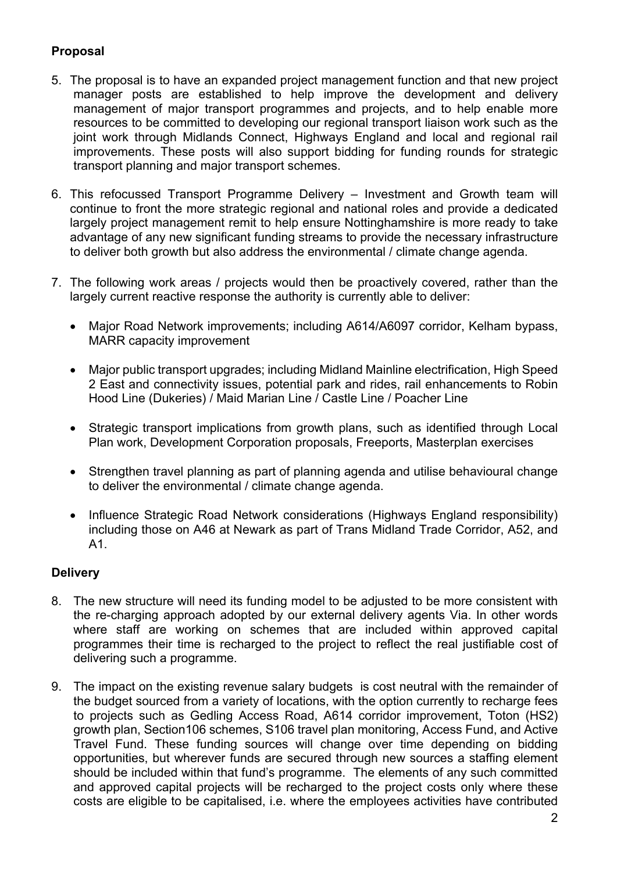# **Proposal**

- 5. The proposal is to have an expanded project management function and that new project manager posts are established to help improve the development and delivery management of major transport programmes and projects, and to help enable more resources to be committed to developing our regional transport liaison work such as the joint work through Midlands Connect, Highways England and local and regional rail improvements. These posts will also support bidding for funding rounds for strategic transport planning and major transport schemes.
- 6. This refocussed Transport Programme Delivery Investment and Growth team will continue to front the more strategic regional and national roles and provide a dedicated largely project management remit to help ensure Nottinghamshire is more ready to take advantage of any new significant funding streams to provide the necessary infrastructure to deliver both growth but also address the environmental / climate change agenda.
- 7. The following work areas / projects would then be proactively covered, rather than the largely current reactive response the authority is currently able to deliver:
	- Major Road Network improvements; including A614/A6097 corridor, Kelham bypass, MARR capacity improvement
	- Major public transport upgrades; including Midland Mainline electrification, High Speed 2 East and connectivity issues, potential park and rides, rail enhancements to Robin Hood Line (Dukeries) / Maid Marian Line / Castle Line / Poacher Line
	- Strategic transport implications from growth plans, such as identified through Local Plan work, Development Corporation proposals, Freeports, Masterplan exercises
	- Strengthen travel planning as part of planning agenda and utilise behavioural change to deliver the environmental / climate change agenda.
	- Influence Strategic Road Network considerations (Highways England responsibility) including those on A46 at Newark as part of Trans Midland Trade Corridor, A52, and A1.

### **Delivery**

- 8. The new structure will need its funding model to be adjusted to be more consistent with the re-charging approach adopted by our external delivery agents Via. In other words where staff are working on schemes that are included within approved capital programmes their time is recharged to the project to reflect the real justifiable cost of delivering such a programme.
- 9. The impact on the existing revenue salary budgets is cost neutral with the remainder of the budget sourced from a variety of locations, with the option currently to recharge fees to projects such as Gedling Access Road, A614 corridor improvement, Toton (HS2) growth plan, Section106 schemes, S106 travel plan monitoring, Access Fund, and Active Travel Fund. These funding sources will change over time depending on bidding opportunities, but wherever funds are secured through new sources a staffing element should be included within that fund's programme. The elements of any such committed and approved capital projects will be recharged to the project costs only where these costs are eligible to be capitalised, i.e. where the employees activities have contributed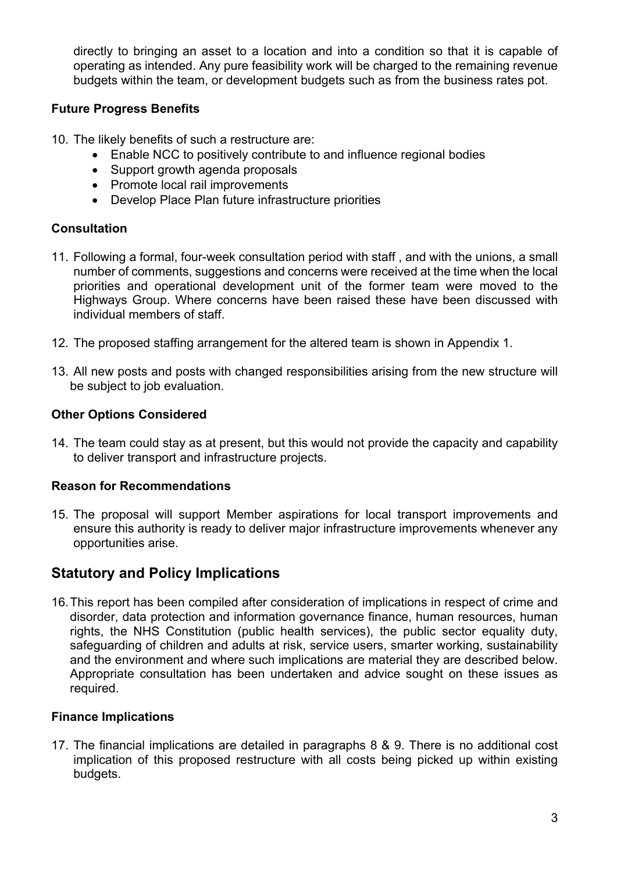directly to bringing an asset to a location and into a condition so that it is capable of operating as intended. Any pure feasibility work will be charged to the remaining revenue budgets within the team, or development budgets such as from the business rates pot.

## **Future Progress Benefits**

- 10. The likely benefits of such a restructure are:
	- Enable NCC to positively contribute to and influence regional bodies
	- Support growth agenda proposals
	- Promote local rail improvements
	- Develop Place Plan future infrastructure priorities

### **Consultation**

- 11. Following a formal, four-week consultation period with staff , and with the unions, a small number of comments, suggestions and concerns were received at the time when the local priorities and operational development unit of the former team were moved to the Highways Group. Where concerns have been raised these have been discussed with individual members of staff.
- 12. The proposed staffing arrangement for the altered team is shown in Appendix 1.
- 13. All new posts and posts with changed responsibilities arising from the new structure will be subject to job evaluation.

### **Other Options Considered**

14. The team could stay as at present, but this would not provide the capacity and capability to deliver transport and infrastructure projects.

### **Reason for Recommendations**

15. The proposal will support Member aspirations for local transport improvements and ensure this authority is ready to deliver major infrastructure improvements whenever any opportunities arise.

# **Statutory and Policy Implications**

16. This report has been compiled after consideration of implications in respect of crime and disorder, data protection and information governance finance, human resources, human rights, the NHS Constitution (public health services), the public sector equality duty, safeguarding of children and adults at risk, service users, smarter working, sustainability and the environment and where such implications are material they are described below. Appropriate consultation has been undertaken and advice sought on these issues as required.

#### **Finance Implications**

17. The financial implications are detailed in paragraphs 8 & 9. There is no additional cost implication of this proposed restructure with all costs being picked up within existing budgets.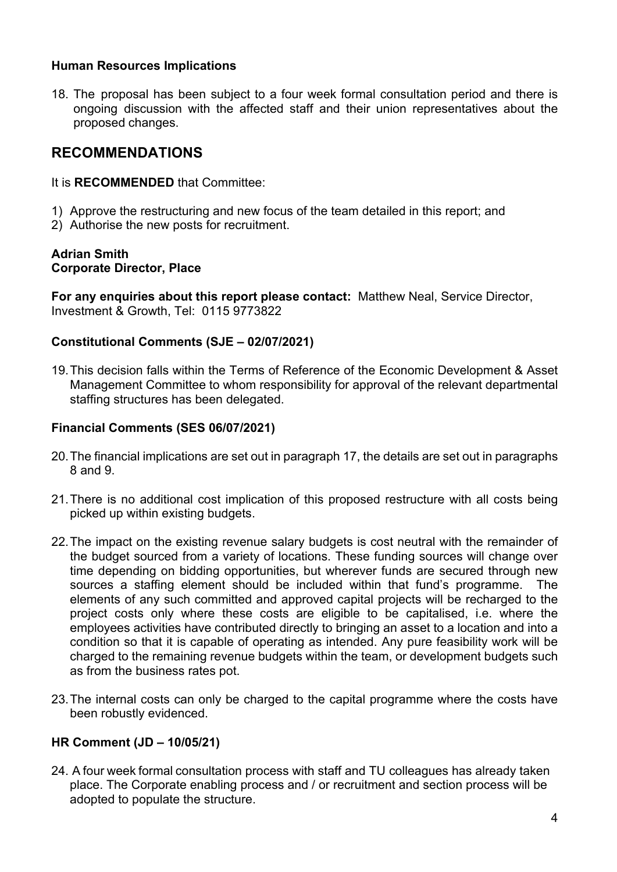#### **Human Resources Implications**

18. The proposal has been subject to a four week formal consultation period and there is ongoing discussion with the affected staff and their union representatives about the proposed changes.

# **RECOMMENDATIONS**

It is **RECOMMENDED** that Committee:

- 1) Approve the restructuring and new focus of the team detailed in this report; and
- 2) Authorise the new posts for recruitment.

#### **Adrian Smith Corporate Director, Place**

**For any enquiries about this report please contact:** Matthew Neal, Service Director, Investment & Growth, Tel: 0115 9773822

### **Constitutional Comments (SJE – 02/07/2021)**

19. This decision falls within the Terms of Reference of the Economic Development & Asset Management Committee to whom responsibility for approval of the relevant departmental staffing structures has been delegated.

### **Financial Comments (SES 06/07/2021)**

- 20. The financial implications are set out in paragraph 17, the details are set out in paragraphs 8 and 9.
- 21. There is no additional cost implication of this proposed restructure with all costs being picked up within existing budgets.
- 22. The impact on the existing revenue salary budgets is cost neutral with the remainder of the budget sourced from a variety of locations. These funding sources will change over time depending on bidding opportunities, but wherever funds are secured through new sources a staffing element should be included within that fund's programme. The elements of any such committed and approved capital projects will be recharged to the project costs only where these costs are eligible to be capitalised, i.e. where the employees activities have contributed directly to bringing an asset to a location and into a condition so that it is capable of operating as intended. Any pure feasibility work will be charged to the remaining revenue budgets within the team, or development budgets such as from the business rates pot.
- 23. The internal costs can only be charged to the capital programme where the costs have been robustly evidenced.

### **HR Comment (JD – 10/05/21)**

24. A four week formal consultation process with staff and TU colleagues has already taken place. The Corporate enabling process and / or recruitment and section process will be adopted to populate the structure.